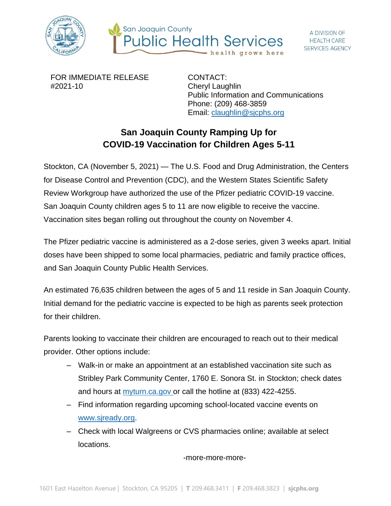



FOR IMMEDIATE RELEASE #2021-10

CONTACT: Cheryl Laughlin Public Information and Communications Phone: (209) 468-3859 Email: [claughlin@sjcphs.org](mailto:claughlin@sjcphs.org)

## **San Joaquin County Ramping Up for COVID-19 Vaccination for Children Ages 5-11**

Stockton, CA (November 5, 2021) — The U.S. Food and Drug Administration, the Centers for Disease Control and Prevention (CDC), and the Western States Scientific Safety Review Workgroup have authorized the use of the Pfizer pediatric COVID-19 vaccine. San Joaquin County children ages 5 to 11 are now eligible to receive the vaccine. Vaccination sites began rolling out throughout the county on November 4.

The Pfizer pediatric vaccine is administered as a 2-dose series, given 3 weeks apart. Initial doses have been shipped to some local pharmacies, pediatric and family practice offices, and San Joaquin County Public Health Services.

An estimated 76,635 children between the ages of 5 and 11 reside in San Joaquin County. Initial demand for the pediatric vaccine is expected to be high as parents seek protection for their children.

Parents looking to vaccinate their children are encouraged to reach out to their medical provider. Other options include:

- Walk-in or make an appointment at an established vaccination site such as Stribley Park Community Center, 1760 E. Sonora St. in Stockton; check dates and hours at [myturn.ca.gov](https://myturn.ca.gov/) or call the hotline at (833) 422-4255.
- Find information regarding upcoming school-located vaccine events on [www.sjready.org.](http://www.sjready.org/)
- Check with local Walgreens or CVS pharmacies online; available at select locations.

-more-more-more-